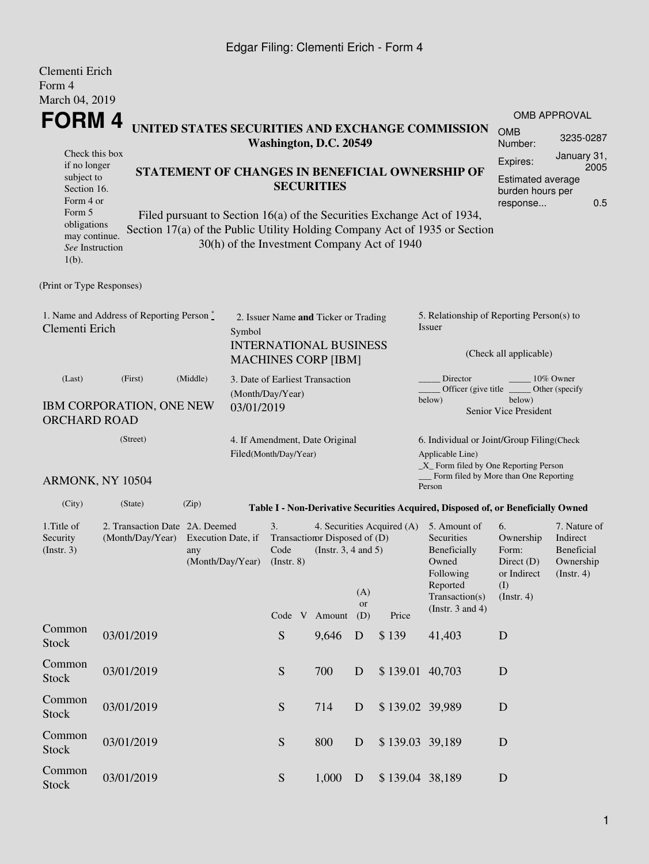## Edgar Filing: Clementi Erich - Form 4

| Clementi Erich<br>Form 4<br>March 04, 2019                                                     |                                 |                                                                                                                            |                                                                            |                                                                 |                                                                          |                  |                                             |                                                                                                               |                                                                         |                                                         |  |  |
|------------------------------------------------------------------------------------------------|---------------------------------|----------------------------------------------------------------------------------------------------------------------------|----------------------------------------------------------------------------|-----------------------------------------------------------------|--------------------------------------------------------------------------|------------------|---------------------------------------------|---------------------------------------------------------------------------------------------------------------|-------------------------------------------------------------------------|---------------------------------------------------------|--|--|
| FORM 4                                                                                         |                                 |                                                                                                                            |                                                                            |                                                                 |                                                                          |                  |                                             |                                                                                                               |                                                                         | <b>OMB APPROVAL</b>                                     |  |  |
|                                                                                                |                                 |                                                                                                                            | UNITED STATES SECURITIES AND EXCHANGE COMMISSION<br>Washington, D.C. 20549 | <b>OMB</b><br>Number:                                           | 3235-0287                                                                |                  |                                             |                                                                                                               |                                                                         |                                                         |  |  |
| Check this box<br>if no longer                                                                 |                                 |                                                                                                                            |                                                                            | Expires:                                                        | January 31,<br>2005                                                      |                  |                                             |                                                                                                               |                                                                         |                                                         |  |  |
| subject to<br>Section 16.<br>Form 4 or<br>Form 5                                               |                                 | STATEMENT OF CHANGES IN BENEFICIAL OWNERSHIP OF<br>Filed pursuant to Section 16(a) of the Securities Exchange Act of 1934, | <b>Estimated average</b><br>burden hours per<br>0.5<br>response            |                                                                 |                                                                          |                  |                                             |                                                                                                               |                                                                         |                                                         |  |  |
| obligations<br>may continue.<br>See Instruction<br>$1(b)$ .                                    |                                 |                                                                                                                            |                                                                            |                                                                 |                                                                          |                  | 30(h) of the Investment Company Act of 1940 | Section 17(a) of the Public Utility Holding Company Act of 1935 or Section                                    |                                                                         |                                                         |  |  |
| (Print or Type Responses)                                                                      |                                 |                                                                                                                            |                                                                            |                                                                 |                                                                          |                  |                                             |                                                                                                               |                                                                         |                                                         |  |  |
| 1. Name and Address of Reporting Person $\stackrel{*}{\mathbb{L}}$<br>Clementi Erich<br>Symbol |                                 |                                                                                                                            |                                                                            |                                                                 | 2. Issuer Name and Ticker or Trading<br><b>INTERNATIONAL BUSINESS</b>    |                  |                                             | 5. Relationship of Reporting Person(s) to<br>Issuer<br>(Check all applicable)                                 |                                                                         |                                                         |  |  |
|                                                                                                |                                 |                                                                                                                            |                                                                            | <b>MACHINES CORP [IBM]</b>                                      |                                                                          |                  |                                             |                                                                                                               |                                                                         |                                                         |  |  |
| (Last)                                                                                         | (First)                         | (Middle)                                                                                                                   |                                                                            | Director<br>3. Date of Earliest Transaction<br>(Month/Day/Year) |                                                                          |                  |                                             |                                                                                                               | 10% Owner<br>Officer (give title)<br>Other (specify                     |                                                         |  |  |
| <b>ORCHARD ROAD</b>                                                                            | <b>IBM CORPORATION, ONE NEW</b> |                                                                                                                            | 03/01/2019                                                                 |                                                                 |                                                                          |                  |                                             | below)                                                                                                        | below)<br>Senior Vice President                                         |                                                         |  |  |
|                                                                                                | (Street)                        |                                                                                                                            |                                                                            |                                                                 | 4. If Amendment, Date Original                                           |                  |                                             | 6. Individual or Joint/Group Filing(Check                                                                     |                                                                         |                                                         |  |  |
|                                                                                                | ARMONK, NY 10504                |                                                                                                                            |                                                                            | Filed(Month/Day/Year)                                           |                                                                          |                  |                                             | Applicable Line)<br>_X_ Form filed by One Reporting Person<br>Form filed by More than One Reporting<br>Person |                                                                         |                                                         |  |  |
| (City)                                                                                         | (State)                         | (Zip)                                                                                                                      |                                                                            |                                                                 |                                                                          |                  |                                             | Table I - Non-Derivative Securities Acquired, Disposed of, or Beneficially Owned                              |                                                                         |                                                         |  |  |
| 1. Title of                                                                                    | 2. Transaction Date 2A. Deemed  |                                                                                                                            |                                                                            | 3.                                                              |                                                                          |                  | 4. Securities Acquired (A)                  | 5. Amount of                                                                                                  | 6.                                                                      | 7. Nature of                                            |  |  |
| Security<br>(Insert. 3)                                                                        | (Month/Day/Year)                | Execution Date, if<br>any                                                                                                  | (Month/Day/Year)                                                           | Code<br>$($ Instr. 8 $)$                                        | Transaction Disposed of (D)<br>(Instr. $3, 4$ and $5$ )<br>Code V Amount | (A)<br>or<br>(D) | Price                                       | Securities<br>Beneficially<br>Owned<br>Following<br>Reported<br>Transaction(s)<br>(Instr. $3$ and $4$ )       | Ownership<br>Form:<br>Direct $(D)$<br>or Indirect<br>(I)<br>(Insert. 4) | Indirect<br>Beneficial<br>Ownership<br>$($ Instr. 4 $)$ |  |  |
| Common<br><b>Stock</b>                                                                         | 03/01/2019                      |                                                                                                                            |                                                                            | S                                                               | 9,646                                                                    | D                | \$139                                       | 41,403                                                                                                        | D                                                                       |                                                         |  |  |
| Common<br><b>Stock</b>                                                                         | 03/01/2019                      |                                                                                                                            |                                                                            | ${\mathbf S}$                                                   | 700                                                                      | D                | \$139.01 40,703                             |                                                                                                               | D                                                                       |                                                         |  |  |
| Common<br><b>Stock</b>                                                                         | 03/01/2019                      |                                                                                                                            |                                                                            | ${\mathbf S}$                                                   | 714                                                                      | D                | \$139.02 39,989                             |                                                                                                               | D                                                                       |                                                         |  |  |
| Common<br>Stock                                                                                | 03/01/2019                      |                                                                                                                            |                                                                            | ${\mathbf S}$                                                   | 800                                                                      | D                | \$139.03 39,189                             |                                                                                                               | D                                                                       |                                                         |  |  |
| Common<br>Stock                                                                                | 03/01/2019                      |                                                                                                                            |                                                                            | ${\mathcal S}$                                                  | 1,000                                                                    | D                | \$139.04 38,189                             |                                                                                                               | D                                                                       |                                                         |  |  |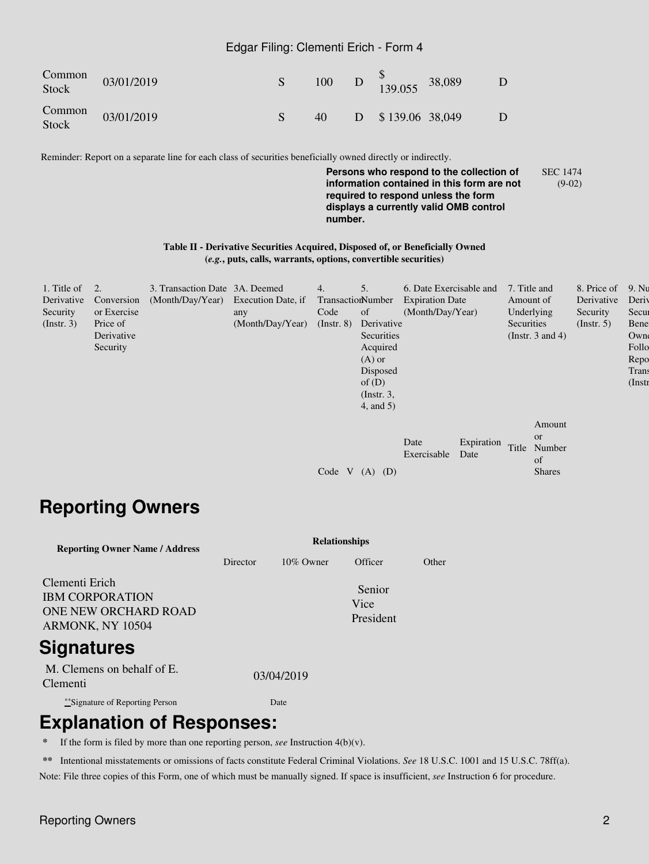#### Edgar Filing: Clementi Erich - Form 4

| Common<br>Stock | 03/01/2019 |    | 100 D $_{139.055}^{9}$ 38,089  |  |
|-----------------|------------|----|--------------------------------|--|
| Common<br>Stock | 03/01/2019 | 40 | $D \quad $139.06 \quad 38.049$ |  |

Reminder: Report on a separate line for each class of securities beneficially owned directly or indirectly.

**Persons who respond to the collection of information contained in this form are not required to respond unless the form displays a currently valid OMB control number.** SEC 1474 (9-02)

#### **Table II - Derivative Securities Acquired, Disposed of, or Beneficially Owned (***e.g.***, puts, calls, warrants, options, convertible securities)**

| 1. Title of      | 2.          | 3. Transaction Date 3A. Deemed      |                  | 4.                | 5.              | 6. Date Exercisable and |            | 7. Title and          |               | 8. Price of      | 9. Nu       |
|------------------|-------------|-------------------------------------|------------------|-------------------|-----------------|-------------------------|------------|-----------------------|---------------|------------------|-------------|
| Derivative       | Conversion  | (Month/Day/Year) Execution Date, if |                  | TransactionNumber |                 | <b>Expiration Date</b>  |            | Amount of             |               | Derivative       | Deriy       |
| Security         | or Exercise |                                     | any              | Code              | <sub>of</sub>   | (Month/Day/Year)        |            | Underlying            |               | Security         | Secur       |
| $($ Instr. 3 $)$ | Price of    |                                     | (Month/Day/Year) | $($ Instr. $8)$   | Derivative      |                         |            | Securities            |               | $($ Instr. 5 $)$ | <b>Bene</b> |
|                  | Derivative  |                                     |                  |                   | Securities      |                         |            | (Instr. $3$ and $4$ ) |               |                  | Owne        |
|                  | Security    |                                     |                  |                   | Acquired        |                         |            |                       |               |                  | Follo       |
|                  |             |                                     |                  |                   | $(A)$ or        |                         |            |                       |               |                  | Repo        |
|                  |             |                                     |                  |                   | Disposed        |                         |            |                       |               |                  | Trans       |
|                  |             |                                     |                  |                   | of $(D)$        |                         |            |                       |               |                  | $($ Instr   |
|                  |             |                                     |                  |                   | $($ Instr. 3,   |                         |            |                       |               |                  |             |
|                  |             |                                     |                  |                   | $4$ , and $5$ ) |                         |            |                       |               |                  |             |
|                  |             |                                     |                  |                   |                 |                         |            |                       | Amount        |                  |             |
|                  |             |                                     |                  |                   |                 |                         |            |                       | <b>or</b>     |                  |             |
|                  |             |                                     |                  |                   |                 | Date                    | Expiration | Title                 | Number        |                  |             |
|                  |             |                                     |                  |                   |                 | Exercisable             | Date       |                       | of            |                  |             |
|                  |             |                                     |                  | Code V            | $(A)$ $(D)$     |                         |            |                       | <b>Shares</b> |                  |             |
|                  |             |                                     |                  |                   |                 |                         |            |                       |               |                  |             |

# **Reporting Owners**

| <b>Reporting Owner Name / Address</b>                                                | <b>Relationships</b> |              |                             |       |  |  |  |  |
|--------------------------------------------------------------------------------------|----------------------|--------------|-----------------------------|-------|--|--|--|--|
|                                                                                      | Director             | $10\%$ Owner | Officer                     | Other |  |  |  |  |
| Clementi Erich<br><b>IBM CORPORATION</b><br>ONE NEW ORCHARD ROAD<br>ARMONK, NY 10504 |                      |              | Senior<br>Vice<br>President |       |  |  |  |  |
| <b>Signatures</b>                                                                    |                      |              |                             |       |  |  |  |  |
| M. Clemens on behalf of E.<br>Clementi                                               |                      | 03/04/2019   |                             |       |  |  |  |  |
| ***Signature of Reporting Person                                                     |                      | Date         |                             |       |  |  |  |  |
|                                                                                      |                      |              |                             |       |  |  |  |  |

## **Explanation of Responses:**

If the form is filed by more than one reporting person, *see* Instruction  $4(b)(v)$ .

**\*\*** Intentional misstatements or omissions of facts constitute Federal Criminal Violations. *See* 18 U.S.C. 1001 and 15 U.S.C. 78ff(a). Note: File three copies of this Form, one of which must be manually signed. If space is insufficient, *see* Instruction 6 for procedure.